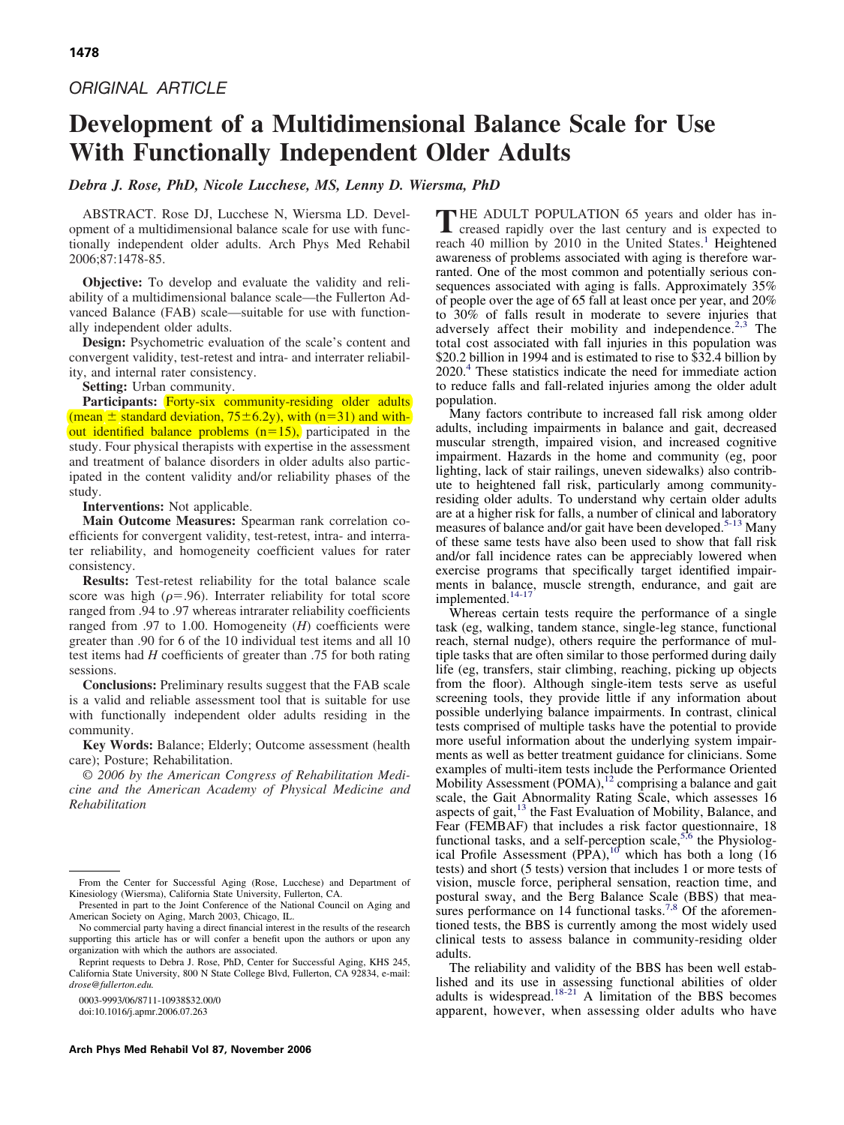# *ORIGINAL ARTICLE*

# **Development of a Multidimensional Balance Scale for Use With Functionally Independent Older Adults**

*Debra J. Rose, PhD, Nicole Lucchese, MS, Lenny D. Wiersma, PhD*

ABSTRACT. Rose DJ, Lucchese N, Wiersma LD. Development of a multidimensional balance scale for use with functionally independent older adults. Arch Phys Med Rehabil 2006;87:1478-85.

**Objective:** To develop and evaluate the validity and reliability of a multidimensional balance scale—the Fullerton Advanced Balance (FAB) scale—suitable for use with functionally independent older adults.

**Design:** Psychometric evaluation of the scale's content and convergent validity, test-retest and intra- and interrater reliability, and internal rater consistency.

**Setting:** Urban community.

Participants: Forty-six community-residing older adults (mean  $\pm$  standard deviation, 75 $\pm$ 6.2y), with (n=31) and without identified balance problems  $(n=15)$ , participated in the study. Four physical therapists with expertise in the assessment and treatment of balance disorders in older adults also participated in the content validity and/or reliability phases of the study.

**Interventions:** Not applicable.

**Main Outcome Measures:** Spearman rank correlation coefficients for convergent validity, test-retest, intra- and interrater reliability, and homogeneity coefficient values for rater consistency.

**Results:** Test-retest reliability for the total balance scale score was high  $(\rho = .96)$ . Interrater reliability for total score ranged from .94 to .97 whereas intrarater reliability coefficients ranged from .97 to 1.00. Homogeneity (*H*) coefficients were greater than .90 for 6 of the 10 individual test items and all 10 test items had *H* coefficients of greater than .75 for both rating sessions.

**Conclusions:** Preliminary results suggest that the FAB scale is a valid and reliable assessment tool that is suitable for use with functionally independent older adults residing in the community.

**Key Words:** Balance; Elderly; Outcome assessment (health care); Posture; Rehabilitation.

© *2006 by the American Congress of Rehabilitation Medicine and the American Academy of Physical Medicine and Rehabilitation*

0003-9993/06/8711-10938\$32.00/0 doi:10.1016/j.apmr.2006.07.263

THE ADULT POPULATION 65 years and older has increased rapidly over the last century and is expected to reach 40 million by 20[1](#page-7-0)0 in the United States.<sup>1</sup> Heightened awareness of problems associated with aging is therefore warranted. One of the most common and potentially serious consequences associated with aging is falls. Approximately 35% of people over the age of 65 fall at least once per year, and 20% to 30% of falls result in moderate to severe injuries that adversely affect their mobility and independence.<sup>[2,3](#page-7-0)</sup> The total cost associated with fall injuries in this population was \$20.2 billion in 1994 and is estimated to rise to \$32.4 billion by 2020.<sup>[4](#page-7-0)</sup> These statistics indicate the need for immediate action to reduce falls and fall-related injuries among the older adult population.

Many factors contribute to increased fall risk among older adults, including impairments in balance and gait, decreased muscular strength, impaired vision, and increased cognitive impairment. Hazards in the home and community (eg, poor lighting, lack of stair railings, uneven sidewalks) also contribute to heightened fall risk, particularly among communityresiding older adults. To understand why certain older adults are at a higher risk for falls, a number of clinical and laboratory measures of balance and/or gait have been developed.<sup>[5-13](#page-7-0)</sup> Many of these same tests have also been used to show that fall risk and/or fall incidence rates can be appreciably lowered when exercise programs that specifically target identified impairments in balance, muscle strength, endurance, and gait are implemented.[14-17](#page-7-0)

Whereas certain tests require the performance of a single task (eg, walking, tandem stance, single-leg stance, functional reach, sternal nudge), others require the performance of multiple tasks that are often similar to those performed during daily life (eg, transfers, stair climbing, reaching, picking up objects from the floor). Although single-item tests serve as useful screening tools, they provide little if any information about possible underlying balance impairments. In contrast, clinical tests comprised of multiple tasks have the potential to provide more useful information about the underlying system impairments as well as better treatment guidance for clinicians. Some examples of multi-item tests include the Performance Oriented Mobility Assessment (POMA),  $^{12}$  $^{12}$  $^{12}$  comprising a balance and gait scale, the Gait Abnormality Rating Scale, which assesses 16 aspects of gait,<sup>[13](#page-7-0)</sup> the Fast Evaluation of Mobility, Balance, and Fear (FEMBAF) that includes a risk factor questionnaire, 18 functional tasks, and a self-perception scale,<sup>[5,6](#page-7-0)</sup> the Physiological Profile Assessment (PPA), $^{10}$  $^{10}$  $^{10}$  which has both a long (16 tests) and short (5 tests) version that includes 1 or more tests of vision, muscle force, peripheral sensation, reaction time, and postural sway, and the Berg Balance Scale (BBS) that mea-sures performance on 14 functional tasks.<sup>[7,8](#page-7-0)</sup> Of the aforementioned tests, the BBS is currently among the most widely used clinical tests to assess balance in community-residing older adults.

The reliability and validity of the BBS has been well established and its use in assessing functional abilities of older adults is widespread. $18-21$  A limitation of the BBS becomes apparent, however, when assessing older adults who have

From the Center for Successful Aging (Rose, Lucchese) and Department of Kinesiology (Wiersma), California State University, Fullerton, CA.

Presented in part to the Joint Conference of the National Council on Aging and American Society on Aging, March 2003, Chicago, IL.

No commercial party having a direct financial interest in the results of the research supporting this article has or will confer a benefit upon the authors or upon any organization with which the authors are associated.

Reprint requests to Debra J. Rose, PhD, Center for Successful Aging, KHS 245, California State University, 800 N State College Blvd, Fullerton, CA 92834, e-mail: *drose@fullerton.edu.*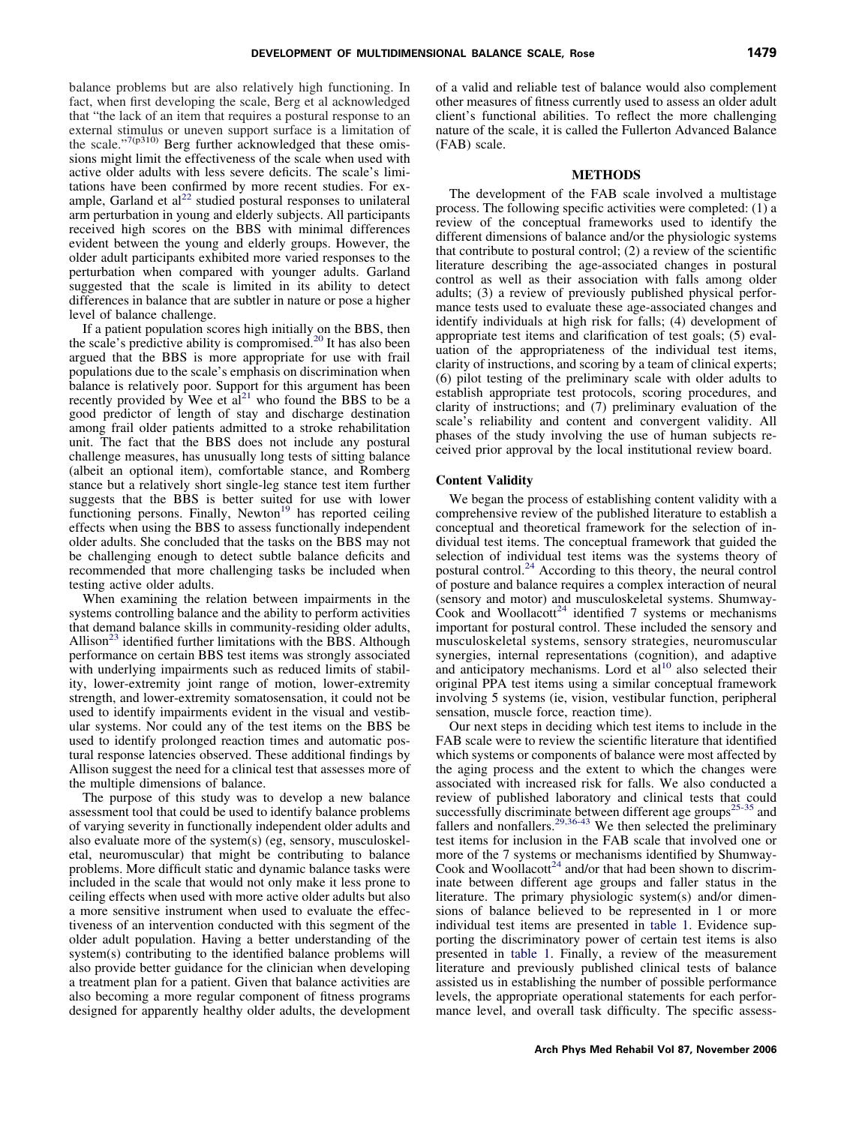balance problems but are also relatively high functioning. In fact, when first developing the scale, Berg et al acknowledged that "the lack of an item that requires a postural response to an external stimulus or uneven support surface is a limitation of the scale."<sup>[7\(](#page-7-0)p310)</sup> Berg further acknowledged that these omissions might limit the effectiveness of the scale when used with active older adults with less severe deficits. The scale's limitations have been confirmed by more recent studies. For example, Garland et  $al<sup>22</sup>$  $al<sup>22</sup>$  $al<sup>22</sup>$  studied postural responses to unilateral arm perturbation in young and elderly subjects. All participants received high scores on the BBS with minimal differences evident between the young and elderly groups. However, the older adult participants exhibited more varied responses to the perturbation when compared with younger adults. Garland suggested that the scale is limited in its ability to detect differences in balance that are subtler in nature or pose a higher level of balance challenge.

If a patient population scores high initially on the BBS, then the scale's predictive ability is compromised.<sup>[20](#page-7-0)</sup> It has also been argued that the BBS is more appropriate for use with frail populations due to the scale's emphasis on discrimination when balance is relatively poor. Support for this argument has been recently provided by Wee et  $aI<sup>21</sup>$  $aI<sup>21</sup>$  $aI<sup>21</sup>$  who found the BBS to be a good predictor of length of stay and discharge destination among frail older patients admitted to a stroke rehabilitation unit. The fact that the BBS does not include any postural challenge measures, has unusually long tests of sitting balance (albeit an optional item), comfortable stance, and Romberg stance but a relatively short single-leg stance test item further suggests that the BBS is better suited for use with lower functioning persons. Finally, Newton<sup>[19](#page-7-0)</sup> has reported ceiling effects when using the BBS to assess functionally independent older adults. She concluded that the tasks on the BBS may not be challenging enough to detect subtle balance deficits and recommended that more challenging tasks be included when testing active older adults.

When examining the relation between impairments in the systems controlling balance and the ability to perform activities that demand balance skills in community-residing older adults, Allison<sup>[23](#page-7-0)</sup> identified further limitations with the BBS. Although performance on certain BBS test items was strongly associated with underlying impairments such as reduced limits of stability, lower-extremity joint range of motion, lower-extremity strength, and lower-extremity somatosensation, it could not be used to identify impairments evident in the visual and vestibular systems. Nor could any of the test items on the BBS be used to identify prolonged reaction times and automatic postural response latencies observed. These additional findings by Allison suggest the need for a clinical test that assesses more of the multiple dimensions of balance.

The purpose of this study was to develop a new balance assessment tool that could be used to identify balance problems of varying severity in functionally independent older adults and also evaluate more of the system(s) (eg, sensory, musculoskeletal, neuromuscular) that might be contributing to balance problems. More difficult static and dynamic balance tasks were included in the scale that would not only make it less prone to ceiling effects when used with more active older adults but also a more sensitive instrument when used to evaluate the effectiveness of an intervention conducted with this segment of the older adult population. Having a better understanding of the system(s) contributing to the identified balance problems will also provide better guidance for the clinician when developing a treatment plan for a patient. Given that balance activities are also becoming a more regular component of fitness programs designed for apparently healthy older adults, the development of a valid and reliable test of balance would also complement other measures of fitness currently used to assess an older adult client's functional abilities. To reflect the more challenging nature of the scale, it is called the Fullerton Advanced Balance (FAB) scale.

### **METHODS**

The development of the FAB scale involved a multistage process. The following specific activities were completed: (1) a review of the conceptual frameworks used to identify the different dimensions of balance and/or the physiologic systems that contribute to postural control; (2) a review of the scientific literature describing the age-associated changes in postural control as well as their association with falls among older adults; (3) a review of previously published physical performance tests used to evaluate these age-associated changes and identify individuals at high risk for falls; (4) development of appropriate test items and clarification of test goals; (5) evaluation of the appropriateness of the individual test items, clarity of instructions, and scoring by a team of clinical experts; (6) pilot testing of the preliminary scale with older adults to establish appropriate test protocols, scoring procedures, and clarity of instructions; and (7) preliminary evaluation of the scale's reliability and content and convergent validity. All phases of the study involving the use of human subjects received prior approval by the local institutional review board.

# **Content Validity**

We began the process of establishing content validity with a comprehensive review of the published literature to establish a conceptual and theoretical framework for the selection of individual test items. The conceptual framework that guided the selection of individual test items was the systems theory of postural control.[24](#page-7-0) According to this theory, the neural control of posture and balance requires a complex interaction of neural (sensory and motor) and musculoskeletal systems. Shumway-Cook and Woollacott<sup>[24](#page-7-0)</sup> identified 7 systems or mechanisms important for postural control. These included the sensory and musculoskeletal systems, sensory strategies, neuromuscular synergies, internal representations (cognition), and adaptive and anticipatory mechanisms. Lord et  $al<sup>10</sup>$  $al<sup>10</sup>$  $al<sup>10</sup>$  also selected their original PPA test items using a similar conceptual framework involving 5 systems (ie, vision, vestibular function, peripheral sensation, muscle force, reaction time).

Our next steps in deciding which test items to include in the FAB scale were to review the scientific literature that identified which systems or components of balance were most affected by the aging process and the extent to which the changes were associated with increased risk for falls. We also conducted a review of published laboratory and clinical tests that could successfully discriminate between different age groups<sup>[25-35](#page-7-0)</sup> and fallers and nonfallers.<sup>[29,36-43](#page-7-0)</sup> We then selected the preliminary test items for inclusion in the FAB scale that involved one or more of the 7 systems or mechanisms identified by Shumway-Cook and Woollacott<sup>[24](#page-7-0)</sup> and/or that had been shown to discriminate between different age groups and faller status in the literature. The primary physiologic system(s) and/or dimensions of balance believed to be represented in 1 or more individual test items are presented in [table 1.](#page-2-0) Evidence supporting the discriminatory power of certain test items is also presented in [table 1.](#page-2-0) Finally, a review of the measurement literature and previously published clinical tests of balance assisted us in establishing the number of possible performance levels, the appropriate operational statements for each performance level, and overall task difficulty. The specific assess-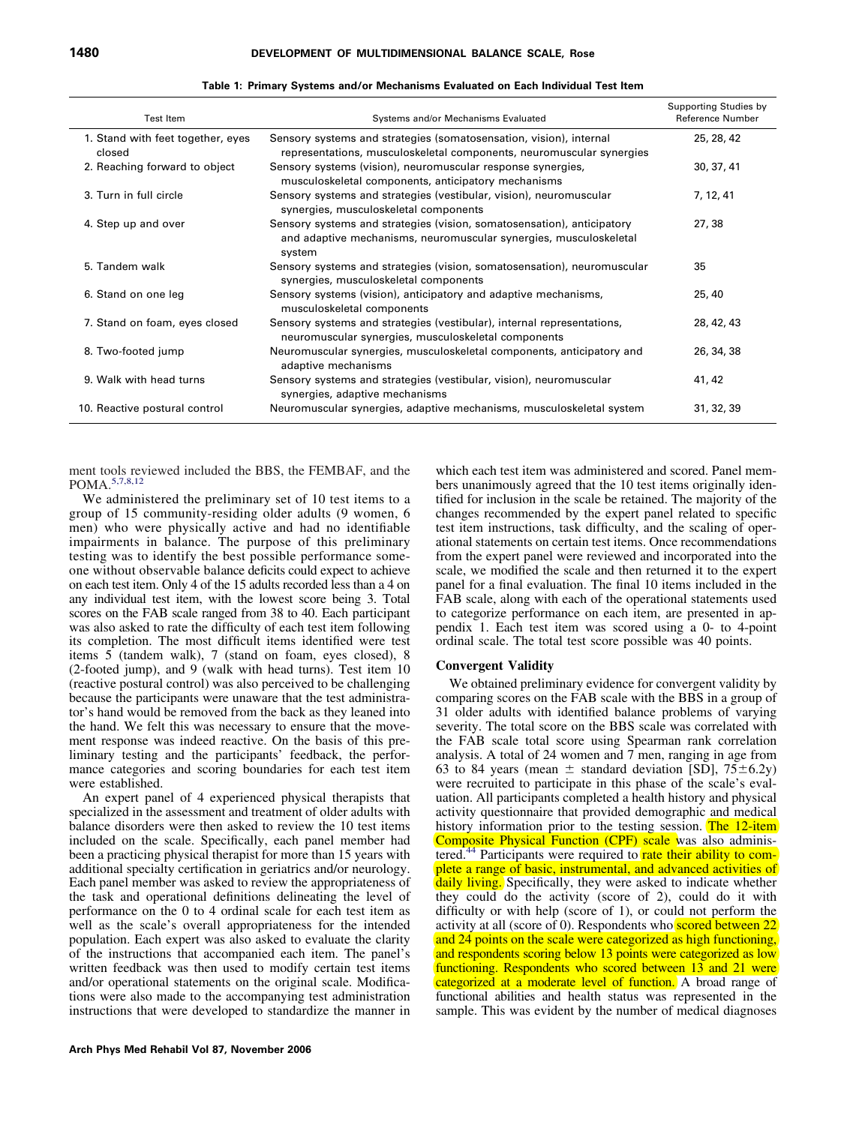<span id="page-2-0"></span>

| Test Item                                   | Systems and/or Mechanisms Evaluated                                                                                                                   | Supporting Studies by<br>Reference Number |
|---------------------------------------------|-------------------------------------------------------------------------------------------------------------------------------------------------------|-------------------------------------------|
| 1. Stand with feet together, eyes<br>closed | Sensory systems and strategies (somatosensation, vision), internal<br>representations, musculoskeletal components, neuromuscular synergies            | 25, 28, 42                                |
| 2. Reaching forward to object               | Sensory systems (vision), neuromuscular response synergies,<br>musculoskeletal components, anticipatory mechanisms                                    | 30, 37, 41                                |
| 3. Turn in full circle                      | Sensory systems and strategies (vestibular, vision), neuromuscular<br>synergies, musculoskeletal components                                           | 7, 12, 41                                 |
| 4. Step up and over                         | Sensory systems and strategies (vision, somatosensation), anticipatory<br>and adaptive mechanisms, neuromuscular synergies, musculoskeletal<br>system | 27,38                                     |
| 5. Tandem walk                              | Sensory systems and strategies (vision, somatosensation), neuromuscular<br>synergies, musculoskeletal components                                      | 35                                        |
| 6. Stand on one leg                         | Sensory systems (vision), anticipatory and adaptive mechanisms,<br>musculoskeletal components                                                         | 25, 40                                    |
| 7. Stand on foam, eyes closed               | Sensory systems and strategies (vestibular), internal representations,<br>neuromuscular synergies, musculoskeletal components                         | 28, 42, 43                                |
| 8. Two-footed jump                          | Neuromuscular synergies, musculoskeletal components, anticipatory and<br>adaptive mechanisms                                                          | 26, 34, 38                                |
| 9. Walk with head turns                     | Sensory systems and strategies (vestibular, vision), neuromuscular<br>synergies, adaptive mechanisms                                                  | 41, 42                                    |
| 10. Reactive postural control               | Neuromuscular synergies, adaptive mechanisms, musculoskeletal system                                                                                  | 31, 32, 39                                |

ment tools reviewed included the BBS, the FEMBAF, and the POMA.[5,7,8,12](#page-7-0)

We administered the preliminary set of 10 test items to a group of 15 community-residing older adults (9 women, 6 men) who were physically active and had no identifiable impairments in balance. The purpose of this preliminary testing was to identify the best possible performance someone without observable balance deficits could expect to achieve on each test item. Only 4 of the 15 adults recorded less than a 4 on any individual test item, with the lowest score being 3. Total scores on the FAB scale ranged from 38 to 40. Each participant was also asked to rate the difficulty of each test item following its completion. The most difficult items identified were test items 5 (tandem walk), 7 (stand on foam, eyes closed), 8 (2-footed jump), and 9 (walk with head turns). Test item 10 (reactive postural control) was also perceived to be challenging because the participants were unaware that the test administrator's hand would be removed from the back as they leaned into the hand. We felt this was necessary to ensure that the movement response was indeed reactive. On the basis of this preliminary testing and the participants' feedback, the performance categories and scoring boundaries for each test item were established.

An expert panel of 4 experienced physical therapists that specialized in the assessment and treatment of older adults with balance disorders were then asked to review the 10 test items included on the scale. Specifically, each panel member had been a practicing physical therapist for more than 15 years with additional specialty certification in geriatrics and/or neurology. Each panel member was asked to review the appropriateness of the task and operational definitions delineating the level of performance on the 0 to 4 ordinal scale for each test item as well as the scale's overall appropriateness for the intended population. Each expert was also asked to evaluate the clarity of the instructions that accompanied each item. The panel's written feedback was then used to modify certain test items and/or operational statements on the original scale. Modifications were also made to the accompanying test administration instructions that were developed to standardize the manner in

which each test item was administered and scored. Panel members unanimously agreed that the 10 test items originally identified for inclusion in the scale be retained. The majority of the changes recommended by the expert panel related to specific test item instructions, task difficulty, and the scaling of operational statements on certain test items. Once recommendations from the expert panel were reviewed and incorporated into the scale, we modified the scale and then returned it to the expert panel for a final evaluation. The final 10 items included in the FAB scale, along with each of the operational statements used to categorize performance on each item, are presented in appendix 1. Each test item was scored using a 0- to 4-point ordinal scale. The total test score possible was 40 points.

# **Convergent Validity**

We obtained preliminary evidence for convergent validity by comparing scores on the FAB scale with the BBS in a group of 31 older adults with identified balance problems of varying severity. The total score on the BBS scale was correlated with the FAB scale total score using Spearman rank correlation analysis. A total of 24 women and 7 men, ranging in age from 63 to 84 years (mean  $\pm$  standard deviation [SD], 75 $\pm$ 6.2y) were recruited to participate in this phase of the scale's evaluation. All participants completed a health history and physical activity questionnaire that provided demographic and medical history information prior to the testing session. The 12-item Composite Physical Function (CPF) scale was also adminis-tered.<sup>[44](#page-7-0)</sup> Participants were required to rate their ability to complete a range of basic, instrumental, and advanced activities of daily living. Specifically, they were asked to indicate whether they could do the activity (score of 2), could do it with difficulty or with help (score of 1), or could not perform the activity at all (score of 0). Respondents who scored between 22 and 24 points on the scale were categorized as high functioning, and respondents scoring below 13 points were categorized as low functioning. Respondents who scored between 13 and 21 were categorized at a moderate level of function. A broad range of functional abilities and health status was represented in the sample. This was evident by the number of medical diagnoses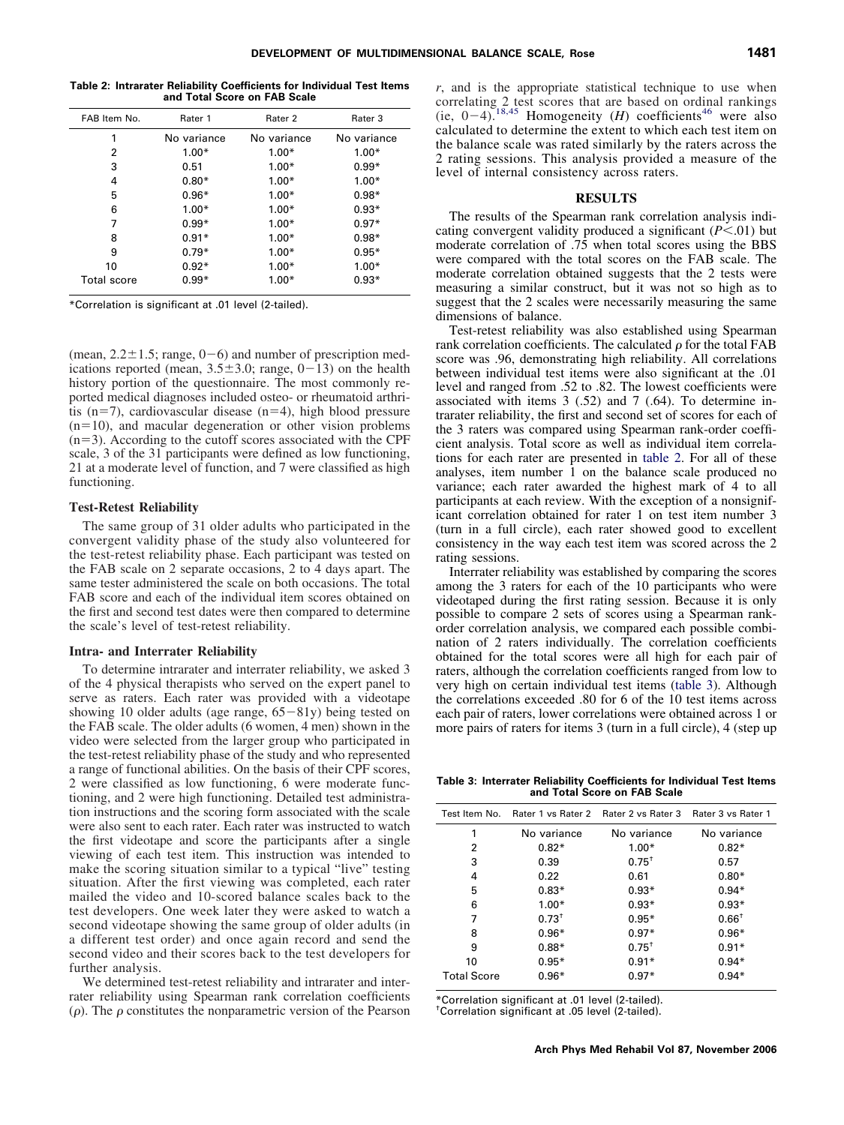**Table 2: Intrarater Reliability Coefficients for Individual Test Items and Total Score on FAB Scale**

| FAB Item No.       | Rater 1     | Rater 2     | Rater 3     |
|--------------------|-------------|-------------|-------------|
|                    | No variance | No variance | No variance |
| 2                  | $1.00*$     | $1.00*$     | $1.00*$     |
| 3                  | 0.51        | $1.00*$     | $0.99*$     |
| 4                  | $0.80*$     | $1.00*$     | $1.00*$     |
| 5                  | $0.96*$     | $1.00*$     | $0.98*$     |
| 6                  | $1.00*$     | $1.00*$     | $0.93*$     |
| 7                  | $0.99*$     | $1.00*$     | $0.97*$     |
| 8                  | $0.91*$     | $1.00*$     | $0.98*$     |
| 9                  | $0.79*$     | $1.00*$     | $0.95*$     |
| 10                 | $0.92*$     | $1.00*$     | $1.00*$     |
| <b>Total score</b> | $0.99*$     | $1.00*$     | $0.93*$     |

\*Correlation is significant at .01 level (2-tailed).

(mean,  $2.2 \pm 1.5$ ; range,  $0-6$ ) and number of prescription medications reported (mean,  $3.5 \pm 3.0$ ; range,  $0-13$ ) on the health history portion of the questionnaire. The most commonly reported medical diagnoses included osteo- or rheumatoid arthritis  $(n=7)$ , cardiovascular disease  $(n=4)$ , high blood pressure  $(n=10)$ , and macular degeneration or other vision problems  $(n=3)$ . According to the cutoff scores associated with the CPF scale, 3 of the 31 participants were defined as low functioning, 21 at a moderate level of function, and 7 were classified as high functioning.

# **Test-Retest Reliability**

The same group of 31 older adults who participated in the convergent validity phase of the study also volunteered for the test-retest reliability phase. Each participant was tested on the FAB scale on 2 separate occasions, 2 to 4 days apart. The same tester administered the scale on both occasions. The total FAB score and each of the individual item scores obtained on the first and second test dates were then compared to determine the scale's level of test-retest reliability.

#### **Intra- and Interrater Reliability**

To determine intrarater and interrater reliability, we asked 3 of the 4 physical therapists who served on the expert panel to serve as raters. Each rater was provided with a videotape showing 10 older adults (age range,  $65-81y$ ) being tested on the FAB scale. The older adults (6 women, 4 men) shown in the video were selected from the larger group who participated in the test-retest reliability phase of the study and who represented a range of functional abilities. On the basis of their CPF scores, 2 were classified as low functioning, 6 were moderate functioning, and 2 were high functioning. Detailed test administration instructions and the scoring form associated with the scale were also sent to each rater. Each rater was instructed to watch the first videotape and score the participants after a single viewing of each test item. This instruction was intended to make the scoring situation similar to a typical "live" testing situation. After the first viewing was completed, each rater mailed the video and 10-scored balance scales back to the test developers. One week later they were asked to watch a second videotape showing the same group of older adults (in a different test order) and once again record and send the second video and their scores back to the test developers for further analysis.

We determined test-retest reliability and intrarater and interrater reliability using Spearman rank correlation coefficients  $(\rho)$ . The  $\rho$  constitutes the nonparametric version of the Pearson

*r*, and is the appropriate statistical technique to use when correlating 2 test scores that are based on ordinal rankings (ie,  $0-4$ ).<sup>[18,45](#page-7-0)</sup> Homogeneity (*H*) coefficients<sup>[46](#page-7-0)</sup> were also calculated to determine the extent to which each test item on the balance scale was rated similarly by the raters across the 2 rating sessions. This analysis provided a measure of the level of internal consistency across raters.

#### **RESULTS**

The results of the Spearman rank correlation analysis indicating convergent validity produced a significant ( $P$ <.01) but moderate correlation of .75 when total scores using the BBS were compared with the total scores on the FAB scale. The moderate correlation obtained suggests that the 2 tests were measuring a similar construct, but it was not so high as to suggest that the 2 scales were necessarily measuring the same dimensions of balance.

Test-retest reliability was also established using Spearman rank correlation coefficients. The calculated  $\rho$  for the total FAB score was .96, demonstrating high reliability. All correlations between individual test items were also significant at the .01 level and ranged from .52 to .82. The lowest coefficients were associated with items 3 (.52) and 7 (.64). To determine intrarater reliability, the first and second set of scores for each of the 3 raters was compared using Spearman rank-order coefficient analysis. Total score as well as individual item correlations for each rater are presented in table 2. For all of these analyses, item number 1 on the balance scale produced no variance; each rater awarded the highest mark of 4 to all participants at each review. With the exception of a nonsignificant correlation obtained for rater 1 on test item number 3 (turn in a full circle), each rater showed good to excellent consistency in the way each test item was scored across the 2 rating sessions.

Interrater reliability was established by comparing the scores among the 3 raters for each of the 10 participants who were videotaped during the first rating session. Because it is only possible to compare 2 sets of scores using a Spearman rankorder correlation analysis, we compared each possible combination of 2 raters individually. The correlation coefficients obtained for the total scores were all high for each pair of raters, although the correlation coefficients ranged from low to very high on certain individual test items (table 3). Although the correlations exceeded .80 for 6 of the 10 test items across each pair of raters, lower correlations were obtained across 1 or more pairs of raters for items 3 (turn in a full circle), 4 (step up

**Table 3: Interrater Reliability Coefficients for Individual Test Items and Total Score on FAB Scale**

| Test Item No.      |             | Rater 1 vs Rater 2 Rater 2 vs Rater 3 Rater 3 vs Rater 1 |             |
|--------------------|-------------|----------------------------------------------------------|-------------|
| 1                  | No variance | No variance                                              | No variance |
| 2                  | $0.82*$     | $1.00*$                                                  | $0.82*$     |
| 3                  | 0.39        | $0.75^{+}$                                               | 0.57        |
| 4                  | 0.22        | 0.61                                                     | $0.80*$     |
| 5                  | $0.83*$     | $0.93*$                                                  | $0.94*$     |
| 6                  | $1.00*$     | $0.93*$                                                  | $0.93*$     |
| 7                  | $0.73^{+}$  | $0.95*$                                                  | $0.66^+$    |
| 8                  | $0.96*$     | $0.97*$                                                  | $0.96*$     |
| 9                  | $0.88*$     | $0.75^{+}$                                               | $0.91*$     |
| 10                 | $0.95*$     | $0.91*$                                                  | $0.94*$     |
| <b>Total Score</b> | $0.96*$     | $0.97*$                                                  | $0.94*$     |
|                    |             |                                                          |             |

\*Correlation significant at .01 level (2-tailed).

† Correlation significant at .05 level (2-tailed).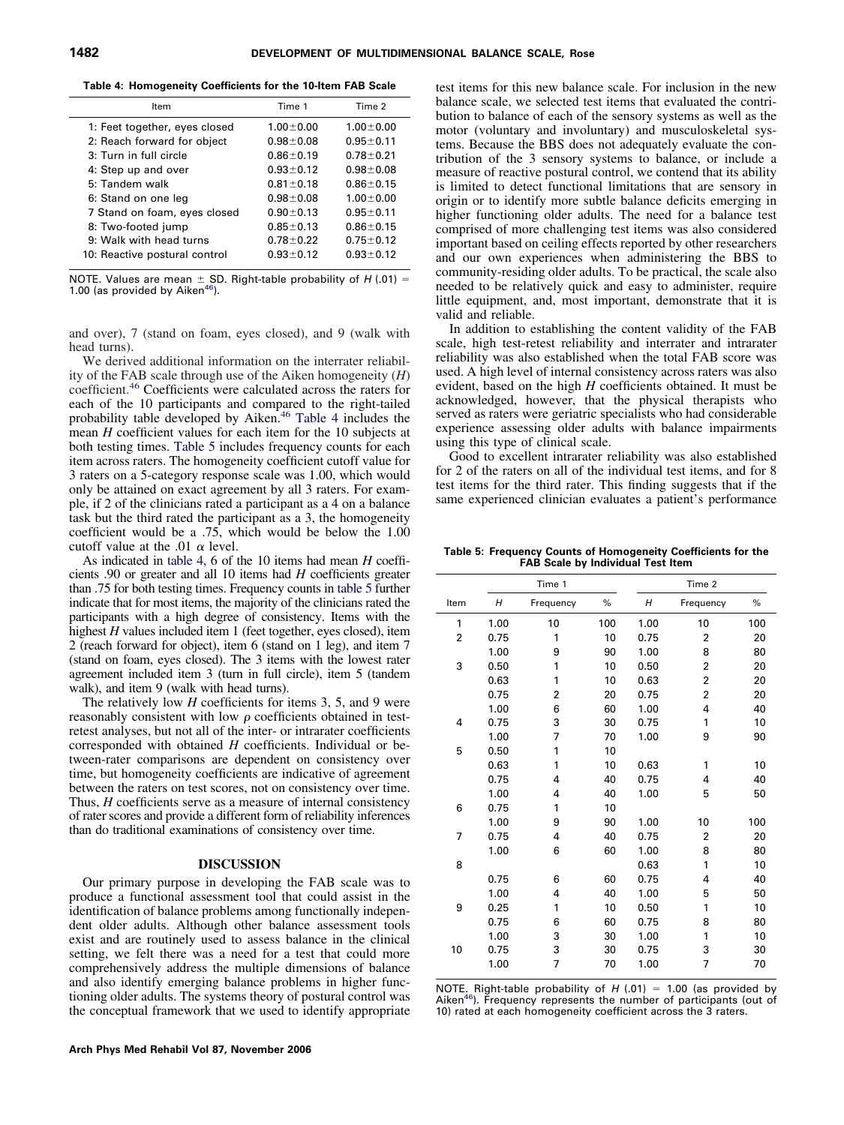**Table 4: Homogeneity Coefficients for the 10-Item FAB Scale**

| Item                          | Time 1          | Time 2          |
|-------------------------------|-----------------|-----------------|
| 1: Feet together, eyes closed | $1.00 \pm 0.00$ | $1.00 \pm 0.00$ |
| 2: Reach forward for object   | $0.98 + 0.08$   | $0.95 + 0.11$   |
| 3: Turn in full circle        | $0.86 + 0.19$   | $0.78 + 0.21$   |
| 4: Step up and over           | $0.93 \pm 0.12$ | $0.98 + 0.08$   |
| 5: Tandem walk                | $0.81 \pm 0.18$ | $0.86 \pm 0.15$ |
| 6: Stand on one leg           | $0.98 + 0.08$   | $1.00 \pm 0.00$ |
| 7 Stand on foam, eyes closed  | $0.90 \pm 0.13$ | $0.95 \pm 0.11$ |
| 8: Two-footed jump            | $0.85 \pm 0.13$ | $0.86 \pm 0.15$ |
| 9: Walk with head turns       | $0.78 + 0.22$   | $0.75 \pm 0.12$ |
| 10: Reactive postural control | $0.93 + 0.12$   | $0.93 + 0.12$   |

NOTE. Values are mean  $\pm$  SD. Right-table probability of  $H$  (.01) = 1.00 (as provided by Aiken $46$ ).

and over), 7 (stand on foam, eyes closed), and 9 (walk with head turns).

We derived additional information on the interrater reliability of the FAB scale through use of the Aiken homogeneity (*H*) coefficient.[46](#page-7-0) Coefficients were calculated across the raters for each of the 10 participants and compared to the right-tailed probability table developed by Aiken.[46](#page-7-0) Table 4 includes the mean *H* coefficient values for each item for the 10 subjects at both testing times. Table 5 includes frequency counts for each item across raters. The homogeneity coefficient cutoff value for 3 raters on a 5-category response scale was 1.00, which would only be attained on exact agreement by all 3 raters. For example, if 2 of the clinicians rated a participant as a 4 on a balance task but the third rated the participant as a 3, the homogeneity coefficient would be a .75, which would be below the 1.00 cutoff value at the .01  $\alpha$  level.

As indicated in table 4, 6 of the 10 items had mean *H* coefficients .90 or greater and all 10 items had *H* coefficients greater than .75 for both testing times. Frequency counts in table 5 further indicate that for most items, the majority of the clinicians rated the participants with a high degree of consistency. Items with the highest *H* values included item 1 (feet together, eyes closed), item 2 (reach forward for object), item 6 (stand on 1 leg), and item 7 (stand on foam, eyes closed). The 3 items with the lowest rater agreement included item 3 (turn in full circle), item 5 (tandem walk), and item 9 (walk with head turns).

The relatively low *H* coefficients for items 3, 5, and 9 were reasonably consistent with low  $\rho$  coefficients obtained in testretest analyses, but not all of the inter- or intrarater coefficients corresponded with obtained *H* coefficients. Individual or between-rater comparisons are dependent on consistency over time, but homogeneity coefficients are indicative of agreement between the raters on test scores, not on consistency over time. Thus, *H* coefficients serve as a measure of internal consistency of rater scores and provide a different form of reliability inferences than do traditional examinations of consistency over time.

### **DISCUSSION**

Our primary purpose in developing the FAB scale was to produce a functional assessment tool that could assist in the identification of balance problems among functionally independent older adults. Although other balance assessment tools exist and are routinely used to assess balance in the clinical setting, we felt there was a need for a test that could more comprehensively address the multiple dimensions of balance and also identify emerging balance problems in higher functioning older adults. The systems theory of postural control was the conceptual framework that we used to identify appropriate

test items for this new balance scale. For inclusion in the new balance scale, we selected test items that evaluated the contribution to balance of each of the sensory systems as well as the motor (voluntary and involuntary) and musculoskeletal systems. Because the BBS does not adequately evaluate the contribution of the 3 sensory systems to balance, or include a measure of reactive postural control, we contend that its ability is limited to detect functional limitations that are sensory in origin or to identify more subtle balance deficits emerging in higher functioning older adults. The need for a balance test comprised of more challenging test items was also considered important based on ceiling effects reported by other researchers and our own experiences when administering the BBS to community-residing older adults. To be practical, the scale also needed to be relatively quick and easy to administer, require little equipment, and, most important, demonstrate that it is valid and reliable.

In addition to establishing the content validity of the FAB scale, high test-retest reliability and interrater and intrarater reliability was also established when the total FAB score was used. A high level of internal consistency across raters was also evident, based on the high *H* coefficients obtained. It must be acknowledged, however, that the physical therapists who served as raters were geriatric specialists who had considerable experience assessing older adults with balance impairments using this type of clinical scale.

Good to excellent intrarater reliability was also established for 2 of the raters on all of the individual test items, and for 8 test items for the third rater. This finding suggests that if the same experienced clinician evaluates a patient's performance

**Table 5: Frequency Counts of Homogeneity Coefficients for the FAB Scale by Individual Test Item**

|      |      | Time 1         |     |      | Time 2         |     |
|------|------|----------------|-----|------|----------------|-----|
| Item | Η    | Frequency      | %   | Η    | Frequency      | %   |
| 1    | 1.00 | 10             | 100 | 1.00 | 10             | 100 |
| 2    | 0.75 | 1              | 10  | 0.75 | 2              | 20  |
|      | 1.00 | 9              | 90  | 1.00 | 8              | 80  |
| 3    | 0.50 | 1              | 10  | 0.50 | 2              | 20  |
|      | 0.63 | 1              | 10  | 0.63 | $\overline{2}$ | 20  |
|      | 0.75 | $\overline{2}$ | 20  | 0.75 | $\overline{2}$ | 20  |
|      | 1.00 | 6              | 60  | 1.00 | 4              | 40  |
| 4    | 0.75 | 3              | 30  | 0.75 | 1              | 10  |
|      | 1.00 | $\overline{7}$ | 70  | 1.00 | 9              | 90  |
| 5    | 0.50 | 1              | 10  |      |                |     |
|      | 0.63 | 1              | 10  | 0.63 | 1              | 10  |
|      | 0.75 | 4              | 40  | 0.75 | 4              | 40  |
|      | 1.00 | 4              | 40  | 1.00 | 5              | 50  |
| 6    | 0.75 | 1              | 10  |      |                |     |
|      | 1.00 | 9              | 90  | 1.00 | 10             | 100 |
| 7    | 0.75 | 4              | 40  | 0.75 | 2              | 20  |
|      | 1.00 | 6              | 60  | 1.00 | 8              | 80  |
| 8    |      |                |     | 0.63 | 1              | 10  |
|      | 0.75 | 6              | 60  | 0.75 | 4              | 40  |
|      | 1.00 | 4              | 40  | 1.00 | 5              | 50  |
| 9    | 0.25 | 1              | 10  | 0.50 | 1              | 10  |
|      | 0.75 | 6              | 60  | 0.75 | 8              | 80  |
|      | 1.00 | 3              | 30  | 1.00 | 1              | 10  |
| 10   | 0.75 | 3              | 30  | 0.75 | 3              | 30  |
|      | 1.00 | 7              | 70  | 1.00 | 7              | 70  |

NOTE. Right-table probability of  $H$  (.01) = 1.00 (as provided by Aiken<sup>46</sup>). Frequency represents the number of participants (out of 10) rated at each homogeneity coefficient across the 3 raters.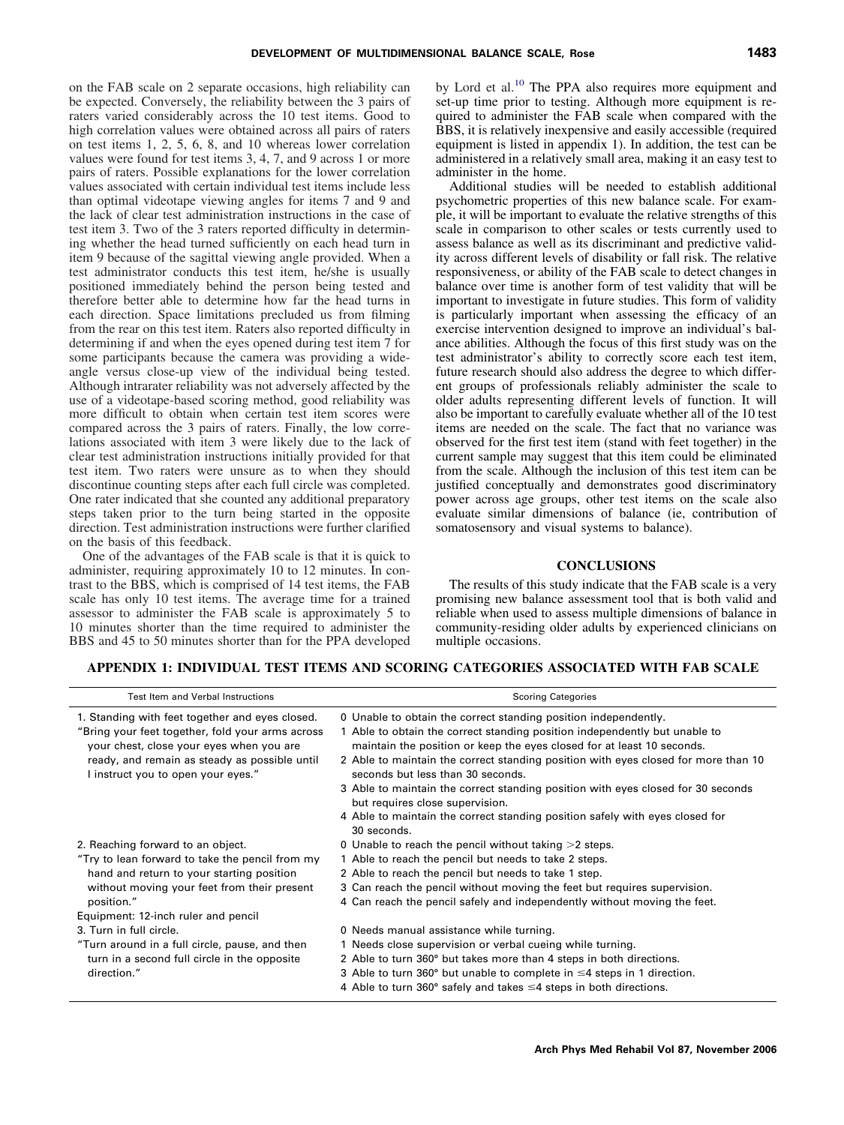on the FAB scale on 2 separate occasions, high reliability can be expected. Conversely, the reliability between the 3 pairs of raters varied considerably across the 10 test items. Good to high correlation values were obtained across all pairs of raters on test items 1, 2, 5, 6, 8, and 10 whereas lower correlation values were found for test items 3, 4, 7, and 9 across 1 or more pairs of raters. Possible explanations for the lower correlation values associated with certain individual test items include less than optimal videotape viewing angles for items 7 and 9 and the lack of clear test administration instructions in the case of test item 3. Two of the 3 raters reported difficulty in determining whether the head turned sufficiently on each head turn in item 9 because of the sagittal viewing angle provided. When a test administrator conducts this test item, he/she is usually positioned immediately behind the person being tested and therefore better able to determine how far the head turns in each direction. Space limitations precluded us from filming from the rear on this test item. Raters also reported difficulty in determining if and when the eyes opened during test item 7 for some participants because the camera was providing a wideangle versus close-up view of the individual being tested. Although intrarater reliability was not adversely affected by the use of a videotape-based scoring method, good reliability was more difficult to obtain when certain test item scores were compared across the 3 pairs of raters. Finally, the low correlations associated with item 3 were likely due to the lack of clear test administration instructions initially provided for that test item. Two raters were unsure as to when they should discontinue counting steps after each full circle was completed. One rater indicated that she counted any additional preparatory steps taken prior to the turn being started in the opposite direction. Test administration instructions were further clarified on the basis of this feedback.

One of the advantages of the FAB scale is that it is quick to administer, requiring approximately 10 to 12 minutes. In contrast to the BBS, which is comprised of 14 test items, the FAB scale has only 10 test items. The average time for a trained assessor to administer the FAB scale is approximately 5 to 10 minutes shorter than the time required to administer the BBS and 45 to 50 minutes shorter than for the PPA developed by Lord et al.<sup>[10](#page-7-0)</sup> The PPA also requires more equipment and set-up time prior to testing. Although more equipment is required to administer the FAB scale when compared with the BBS, it is relatively inexpensive and easily accessible (required equipment is listed in appendix 1). In addition, the test can be administered in a relatively small area, making it an easy test to administer in the home.

Additional studies will be needed to establish additional psychometric properties of this new balance scale. For example, it will be important to evaluate the relative strengths of this scale in comparison to other scales or tests currently used to assess balance as well as its discriminant and predictive validity across different levels of disability or fall risk. The relative responsiveness, or ability of the FAB scale to detect changes in balance over time is another form of test validity that will be important to investigate in future studies. This form of validity is particularly important when assessing the efficacy of an exercise intervention designed to improve an individual's balance abilities. Although the focus of this first study was on the test administrator's ability to correctly score each test item, future research should also address the degree to which different groups of professionals reliably administer the scale to older adults representing different levels of function. It will also be important to carefully evaluate whether all of the 10 test items are needed on the scale. The fact that no variance was observed for the first test item (stand with feet together) in the current sample may suggest that this item could be eliminated from the scale. Although the inclusion of this test item can be justified conceptually and demonstrates good discriminatory power across age groups, other test items on the scale also evaluate similar dimensions of balance (ie, contribution of somatosensory and visual systems to balance).

# **CONCLUSIONS**

The results of this study indicate that the FAB scale is a very promising new balance assessment tool that is both valid and reliable when used to assess multiple dimensions of balance in community-residing older adults by experienced clinicians on multiple occasions.

# **APPENDIX 1: INDIVIDUAL TEST ITEMS AND SCORING CATEGORIES ASSOCIATED WITH FAB SCALE**

| Test Item and Verbal Instructions                                                                                                               | <b>Scoring Categories</b>                                                                                                                                                                                                                                                                   |
|-------------------------------------------------------------------------------------------------------------------------------------------------|---------------------------------------------------------------------------------------------------------------------------------------------------------------------------------------------------------------------------------------------------------------------------------------------|
| 1. Standing with feet together and eyes closed.<br>"Bring your feet together, fold your arms across<br>your chest, close your eyes when you are | 0 Unable to obtain the correct standing position independently.<br>1 Able to obtain the correct standing position independently but unable to<br>maintain the position or keep the eyes closed for at least 10 seconds.                                                                     |
| ready, and remain as steady as possible until<br>l instruct you to open your eyes."                                                             | 2 Able to maintain the correct standing position with eyes closed for more than 10<br>seconds but less than 30 seconds.                                                                                                                                                                     |
|                                                                                                                                                 | 3 Able to maintain the correct standing position with eyes closed for 30 seconds<br>but requires close supervision.                                                                                                                                                                         |
|                                                                                                                                                 | 4 Able to maintain the correct standing position safely with eyes closed for<br>30 seconds.                                                                                                                                                                                                 |
| 2. Reaching forward to an object.                                                                                                               | 0 Unable to reach the pencil without taking $>2$ steps.                                                                                                                                                                                                                                     |
| "Try to lean forward to take the pencil from my                                                                                                 | 1 Able to reach the pencil but needs to take 2 steps.                                                                                                                                                                                                                                       |
| hand and return to your starting position                                                                                                       | 2 Able to reach the pencil but needs to take 1 step.                                                                                                                                                                                                                                        |
| without moving your feet from their present                                                                                                     | 3 Can reach the pencil without moving the feet but requires supervision.                                                                                                                                                                                                                    |
| position."                                                                                                                                      | 4 Can reach the pencil safely and independently without moving the feet.                                                                                                                                                                                                                    |
| Equipment: 12-inch ruler and pencil                                                                                                             |                                                                                                                                                                                                                                                                                             |
| 3. Turn in full circle.                                                                                                                         | 0 Needs manual assistance while turning.                                                                                                                                                                                                                                                    |
| "Turn around in a full circle, pause, and then<br>turn in a second full circle in the opposite<br>direction."                                   | 1 Needs close supervision or verbal cueing while turning.<br>2 Able to turn 360° but takes more than 4 steps in both directions.<br>3 Able to turn 360° but unable to complete in $\leq 4$ steps in 1 direction.<br>4 Able to turn 360° safely and takes $\leq$ 4 steps in both directions. |
|                                                                                                                                                 |                                                                                                                                                                                                                                                                                             |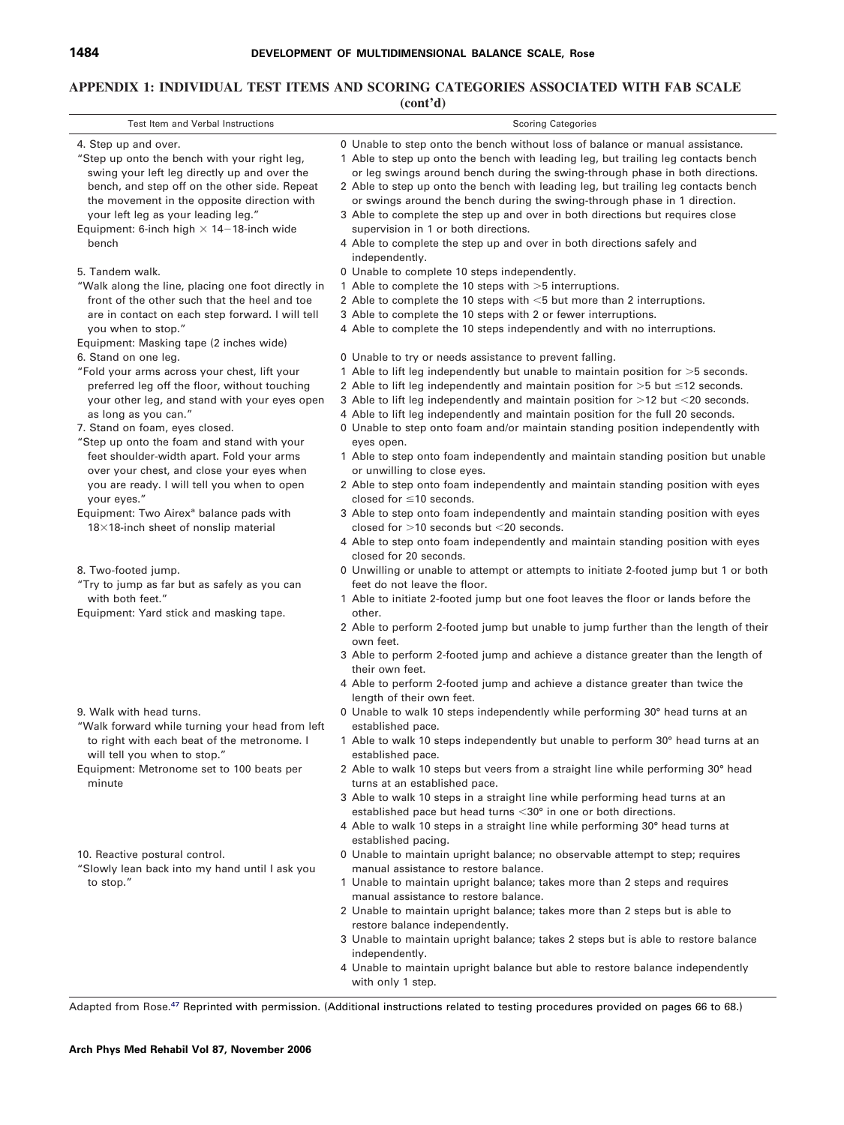# **APPENDIX 1: INDIVIDUAL TEST ITEMS AND SCORING CATEGORIES ASSOCIATED WITH FAB SCALE**

| (cont <sup>2</sup> d)                                                                                                                                                                                                                                                                                                   |                                                                                                                                                                                                                                                                                                                                                                                                                                                                                                                                                                                                                                             |  |  |  |
|-------------------------------------------------------------------------------------------------------------------------------------------------------------------------------------------------------------------------------------------------------------------------------------------------------------------------|---------------------------------------------------------------------------------------------------------------------------------------------------------------------------------------------------------------------------------------------------------------------------------------------------------------------------------------------------------------------------------------------------------------------------------------------------------------------------------------------------------------------------------------------------------------------------------------------------------------------------------------------|--|--|--|
| Test Item and Verbal Instructions                                                                                                                                                                                                                                                                                       | <b>Scoring Categories</b>                                                                                                                                                                                                                                                                                                                                                                                                                                                                                                                                                                                                                   |  |  |  |
| 4. Step up and over.<br>"Step up onto the bench with your right leg,<br>swing your left leg directly up and over the<br>bench, and step off on the other side. Repeat<br>the movement in the opposite direction with<br>your left leg as your leading leg."<br>Equipment: 6-inch high $\times$ 14-18-inch wide<br>bench | 0 Unable to step onto the bench without loss of balance or manual assistance.<br>1 Able to step up onto the bench with leading leg, but trailing leg contacts bench<br>or leg swings around bench during the swing-through phase in both directions.<br>2 Able to step up onto the bench with leading leg, but trailing leg contacts bench<br>or swings around the bench during the swing-through phase in 1 direction.<br>3 Able to complete the step up and over in both directions but requires close<br>supervision in 1 or both directions.<br>4 Able to complete the step up and over in both directions safely and<br>independently. |  |  |  |
| 5. Tandem walk.<br>"Walk along the line, placing one foot directly in<br>front of the other such that the heel and toe<br>are in contact on each step forward. I will tell<br>you when to stop."<br>Equipment: Masking tape (2 inches wide)                                                                             | 0 Unable to complete 10 steps independently.<br>1 Able to complete the 10 steps with $>5$ interruptions.<br>2 Able to complete the 10 steps with $<$ 5 but more than 2 interruptions.<br>3 Able to complete the 10 steps with 2 or fewer interruptions.<br>4 Able to complete the 10 steps independently and with no interruptions.                                                                                                                                                                                                                                                                                                         |  |  |  |
| 6. Stand on one leg.<br>"Fold your arms across your chest, lift your<br>preferred leg off the floor, without touching<br>your other leg, and stand with your eyes open<br>as long as you can."<br>7. Stand on foam, eyes closed.<br>"Step up onto the foam and stand with your                                          | 0 Unable to try or needs assistance to prevent falling.<br>1 Able to lift leg independently but unable to maintain position for >5 seconds.<br>2 Able to lift leg independently and maintain position for $>5$ but $\leq$ 12 seconds.<br>3 Able to lift leg independently and maintain position for $>12$ but $<$ 20 seconds.<br>4 Able to lift leg independently and maintain position for the full 20 seconds.<br>0 Unable to step onto foam and/or maintain standing position independently with<br>eyes open.                                                                                                                           |  |  |  |
| feet shoulder-width apart. Fold your arms<br>over your chest, and close your eyes when<br>you are ready. I will tell you when to open<br>your eyes."                                                                                                                                                                    | 1 Able to step onto foam independently and maintain standing position but unable<br>or unwilling to close eyes.<br>2 Able to step onto foam independently and maintain standing position with eyes<br>closed for $\leq$ 10 seconds.                                                                                                                                                                                                                                                                                                                                                                                                         |  |  |  |
| Equipment: Two Airex <sup>a</sup> balance pads with<br>$18\times18$ -inch sheet of nonslip material                                                                                                                                                                                                                     | 3 Able to step onto foam independently and maintain standing position with eyes<br>closed for $>10$ seconds but <20 seconds.<br>4 Able to step onto foam independently and maintain standing position with eyes<br>closed for 20 seconds.                                                                                                                                                                                                                                                                                                                                                                                                   |  |  |  |
| 8. Two-footed jump.<br>"Try to jump as far but as safely as you can<br>with both feet."<br>Equipment: Yard stick and masking tape.                                                                                                                                                                                      | 0 Unwilling or unable to attempt or attempts to initiate 2-footed jump but 1 or both<br>feet do not leave the floor.<br>1 Able to initiate 2-footed jump but one foot leaves the floor or lands before the<br>other.<br>2 Able to perform 2-footed jump but unable to jump further than the length of their<br>own feet.                                                                                                                                                                                                                                                                                                                    |  |  |  |
|                                                                                                                                                                                                                                                                                                                         | 3 Able to perform 2-footed jump and achieve a distance greater than the length of<br>their own feet.<br>4 Able to perform 2-footed jump and achieve a distance greater than twice the<br>length of their own feet.                                                                                                                                                                                                                                                                                                                                                                                                                          |  |  |  |
| 9. Walk with head turns.<br>"Walk forward while turning your head from left<br>to right with each beat of the metronome. I<br>will tell you when to stop."                                                                                                                                                              | 0 Unable to walk 10 steps independently while performing 30° head turns at an<br>established pace.<br>1 Able to walk 10 steps independently but unable to perform 30° head turns at an<br>established pace.                                                                                                                                                                                                                                                                                                                                                                                                                                 |  |  |  |
| Equipment: Metronome set to 100 beats per<br>minute                                                                                                                                                                                                                                                                     | 2 Able to walk 10 steps but veers from a straight line while performing 30° head<br>turns at an established pace.<br>3 Able to walk 10 steps in a straight line while performing head turns at an<br>established pace but head turns $\leq 30^\circ$ in one or both directions.<br>4 Able to walk 10 steps in a straight line while performing 30° head turns at<br>established pacing.                                                                                                                                                                                                                                                     |  |  |  |
| 10. Reactive postural control.<br>"Slowly lean back into my hand until I ask you<br>to stop."                                                                                                                                                                                                                           | 0 Unable to maintain upright balance; no observable attempt to step; requires<br>manual assistance to restore balance.<br>1 Unable to maintain upright balance; takes more than 2 steps and requires<br>manual assistance to restore balance.<br>2 Unable to maintain upright balance; takes more than 2 steps but is able to<br>restore balance independently.<br>3 Unable to maintain upright balance; takes 2 steps but is able to restore balance<br>independently.<br>4 Unable to maintain upright balance but able to restore balance independently                                                                                   |  |  |  |

with only 1 step.